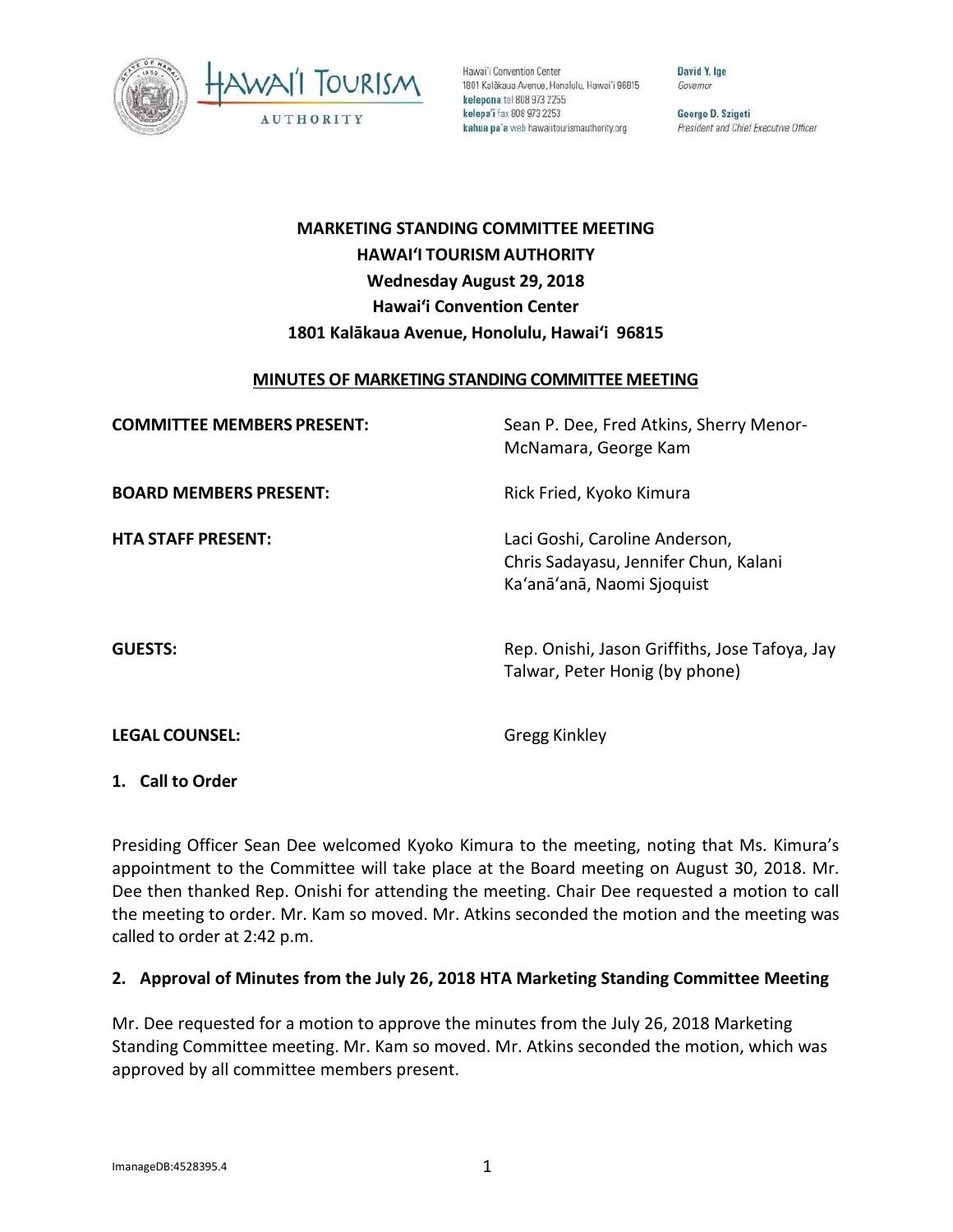

Hawai'i Convention Center 1801 Kalākaua Avenue, Honolulu, Hawai'i 96815 kelepona tel 808 973 2255 kelepa'i fax 808 973 2253 kahua pa'a web hawaiitourismauthority.org

David Y. Ige Governor

George D. Szigeti President and Chief Executive Officer

# **MARKETING STANDING COMMITTEE MEETING HAWAI'I TOURISM AUTHORITY Wednesday August 29, 2018 Hawai'i Convention Center 1801 Kalākaua Avenue, Honolulu, Hawai'i 96815**

### **MINUTES OF MARKETING STANDING COMMITTEE MEETING**

| <b>COMMITTEE MEMBERS PRESENT:</b> | Sean P. Dee, Fred Atkins, Sherry Menor-<br>McNamara, George Kam                                       |
|-----------------------------------|-------------------------------------------------------------------------------------------------------|
| <b>BOARD MEMBERS PRESENT:</b>     | Rick Fried, Kyoko Kimura                                                                              |
| <b>HTA STAFF PRESENT:</b>         | Laci Goshi, Caroline Anderson,<br>Chris Sadayasu, Jennifer Chun, Kalani<br>Ka'anā'anā, Naomi Sjoquist |
| <b>GUESTS:</b>                    | Rep. Onishi, Jason Griffiths, Jose Tafoya, Jay<br>Talwar, Peter Honig (by phone)                      |
| <b>LEGAL COUNSEL:</b>             | <b>Gregg Kinkley</b>                                                                                  |

**1. Call to Order**

Presiding Officer Sean Dee welcomed Kyoko Kimura to the meeting, noting that Ms. Kimura's appointment to the Committee will take place at the Board meeting on August 30, 2018. Mr. Dee then thanked Rep. Onishi for attending the meeting. Chair Dee requested a motion to call the meeting to order. Mr. Kam so moved. Mr. Atkins seconded the motion and the meeting was called to order at 2:42 p.m.

# **2. Approval of Minutes from the July 26, 2018 HTA Marketing Standing Committee Meeting**

Mr. Dee requested for a motion to approve the minutes from the July 26, 2018 Marketing Standing Committee meeting. Mr. Kam so moved. Mr. Atkins seconded the motion, which was approved by all committee members present.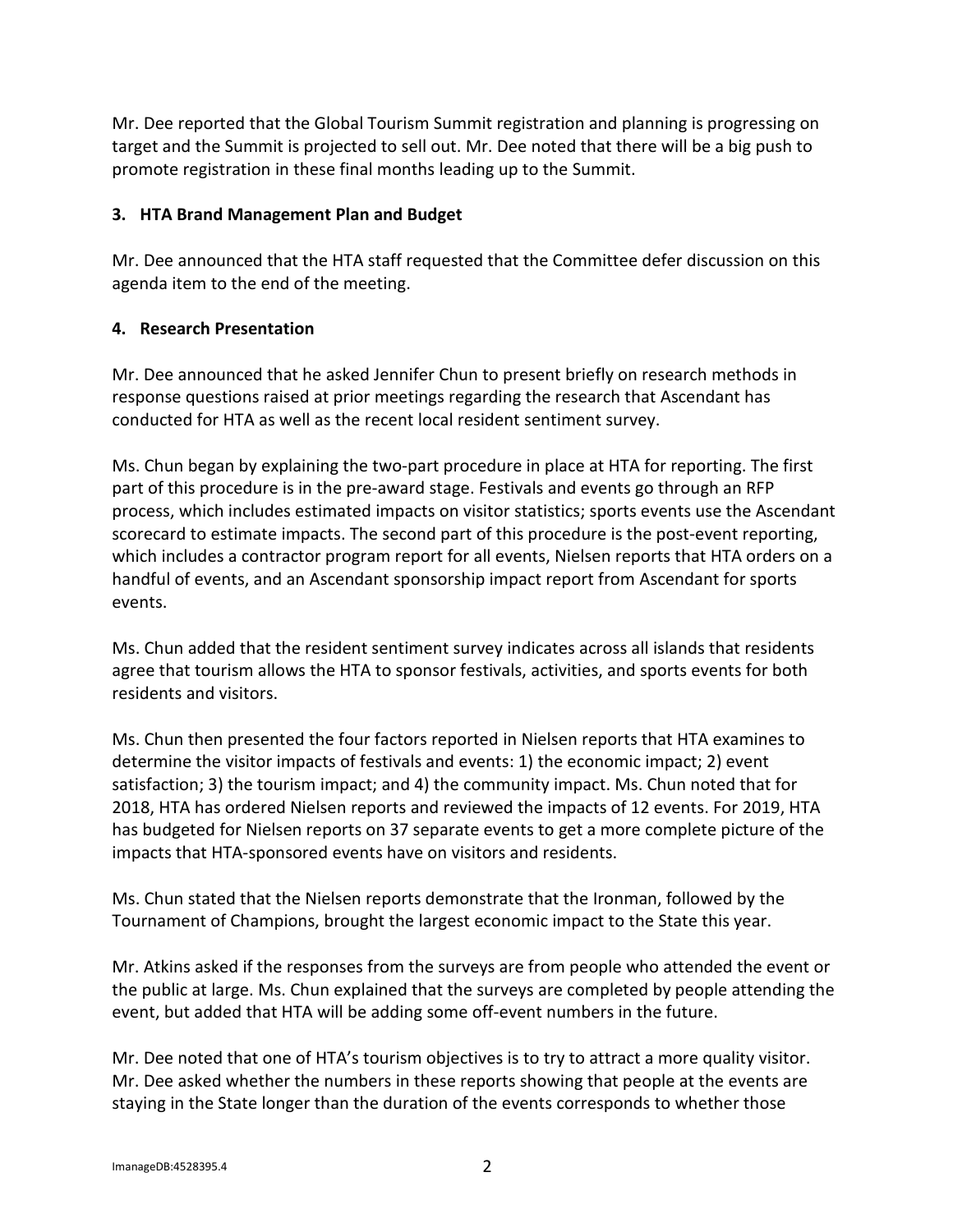Mr. Dee reported that the Global Tourism Summit registration and planning is progressing on target and the Summit is projected to sell out. Mr. Dee noted that there will be a big push to promote registration in these final months leading up to the Summit.

## **3. HTA Brand Management Plan and Budget**

Mr. Dee announced that the HTA staff requested that the Committee defer discussion on this agenda item to the end of the meeting.

### **4. Research Presentation**

Mr. Dee announced that he asked Jennifer Chun to present briefly on research methods in response questions raised at prior meetings regarding the research that Ascendant has conducted for HTA as well as the recent local resident sentiment survey.

Ms. Chun began by explaining the two-part procedure in place at HTA for reporting. The first part of this procedure is in the pre-award stage. Festivals and events go through an RFP process, which includes estimated impacts on visitor statistics; sports events use the Ascendant scorecard to estimate impacts. The second part of this procedure is the post-event reporting, which includes a contractor program report for all events, Nielsen reports that HTA orders on a handful of events, and an Ascendant sponsorship impact report from Ascendant for sports events.

Ms. Chun added that the resident sentiment survey indicates across all islands that residents agree that tourism allows the HTA to sponsor festivals, activities, and sports events for both residents and visitors.

Ms. Chun then presented the four factors reported in Nielsen reports that HTA examines to determine the visitor impacts of festivals and events: 1) the economic impact; 2) event satisfaction; 3) the tourism impact; and 4) the community impact. Ms. Chun noted that for 2018, HTA has ordered Nielsen reports and reviewed the impacts of 12 events. For 2019, HTA has budgeted for Nielsen reports on 37 separate events to get a more complete picture of the impacts that HTA-sponsored events have on visitors and residents.

Ms. Chun stated that the Nielsen reports demonstrate that the Ironman, followed by the Tournament of Champions, brought the largest economic impact to the State this year.

Mr. Atkins asked if the responses from the surveys are from people who attended the event or the public at large. Ms. Chun explained that the surveys are completed by people attending the event, but added that HTA will be adding some off-event numbers in the future.

Mr. Dee noted that one of HTA's tourism objectives is to try to attract a more quality visitor. Mr. Dee asked whether the numbers in these reports showing that people at the events are staying in the State longer than the duration of the events corresponds to whether those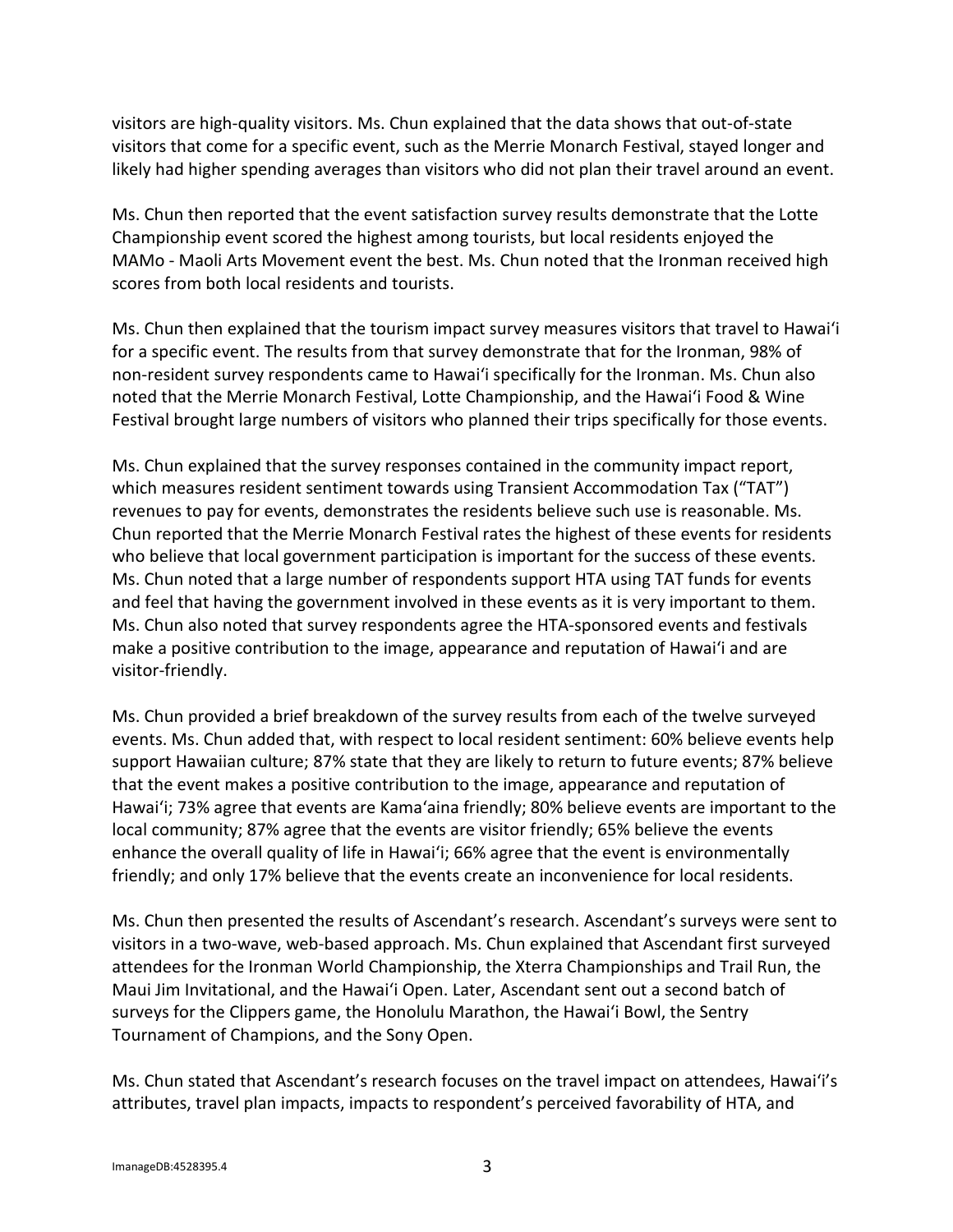visitors are high-quality visitors. Ms. Chun explained that the data shows that out-of-state visitors that come for a specific event, such as the Merrie Monarch Festival, stayed longer and likely had higher spending averages than visitors who did not plan their travel around an event.

Ms. Chun then reported that the event satisfaction survey results demonstrate that the Lotte Championship event scored the highest among tourists, but local residents enjoyed the MAMo - Maoli Arts Movement event the best. Ms. Chun noted that the Ironman received high scores from both local residents and tourists.

Ms. Chun then explained that the tourism impact survey measures visitors that travel to Hawaiʻi for a specific event. The results from that survey demonstrate that for the Ironman, 98% of non-resident survey respondents came to Hawaiʻi specifically for the Ironman. Ms. Chun also noted that the Merrie Monarch Festival, Lotte Championship, and the Hawaiʻi Food & Wine Festival brought large numbers of visitors who planned their trips specifically for those events.

Ms. Chun explained that the survey responses contained in the community impact report, which measures resident sentiment towards using Transient Accommodation Tax ("TAT") revenues to pay for events, demonstrates the residents believe such use is reasonable. Ms. Chun reported that the Merrie Monarch Festival rates the highest of these events for residents who believe that local government participation is important for the success of these events. Ms. Chun noted that a large number of respondents support HTA using TAT funds for events and feel that having the government involved in these events as it is very important to them. Ms. Chun also noted that survey respondents agree the HTA-sponsored events and festivals make a positive contribution to the image, appearance and reputation of Hawaiʻi and are visitor-friendly.

Ms. Chun provided a brief breakdown of the survey results from each of the twelve surveyed events. Ms. Chun added that, with respect to local resident sentiment: 60% believe events help support Hawaiian culture; 87% state that they are likely to return to future events; 87% believe that the event makes a positive contribution to the image, appearance and reputation of Hawaiʻi; 73% agree that events are Kama'aina friendly; 80% believe events are important to the local community; 87% agree that the events are visitor friendly; 65% believe the events enhance the overall quality of life in Hawaiʻi; 66% agree that the event is environmentally friendly; and only 17% believe that the events create an inconvenience for local residents.

Ms. Chun then presented the results of Ascendant's research. Ascendant's surveys were sent to visitors in a two-wave, web-based approach. Ms. Chun explained that Ascendant first surveyed attendees for the Ironman World Championship, the Xterra Championships and Trail Run, the Maui Jim Invitational, and the Hawaiʻi Open. Later, Ascendant sent out a second batch of surveys for the Clippers game, the Honolulu Marathon, the Hawaiʻi Bowl, the Sentry Tournament of Champions, and the Sony Open.

Ms. Chun stated that Ascendant's research focuses on the travel impact on attendees, Hawaiʻi's attributes, travel plan impacts, impacts to respondent's perceived favorability of HTA, and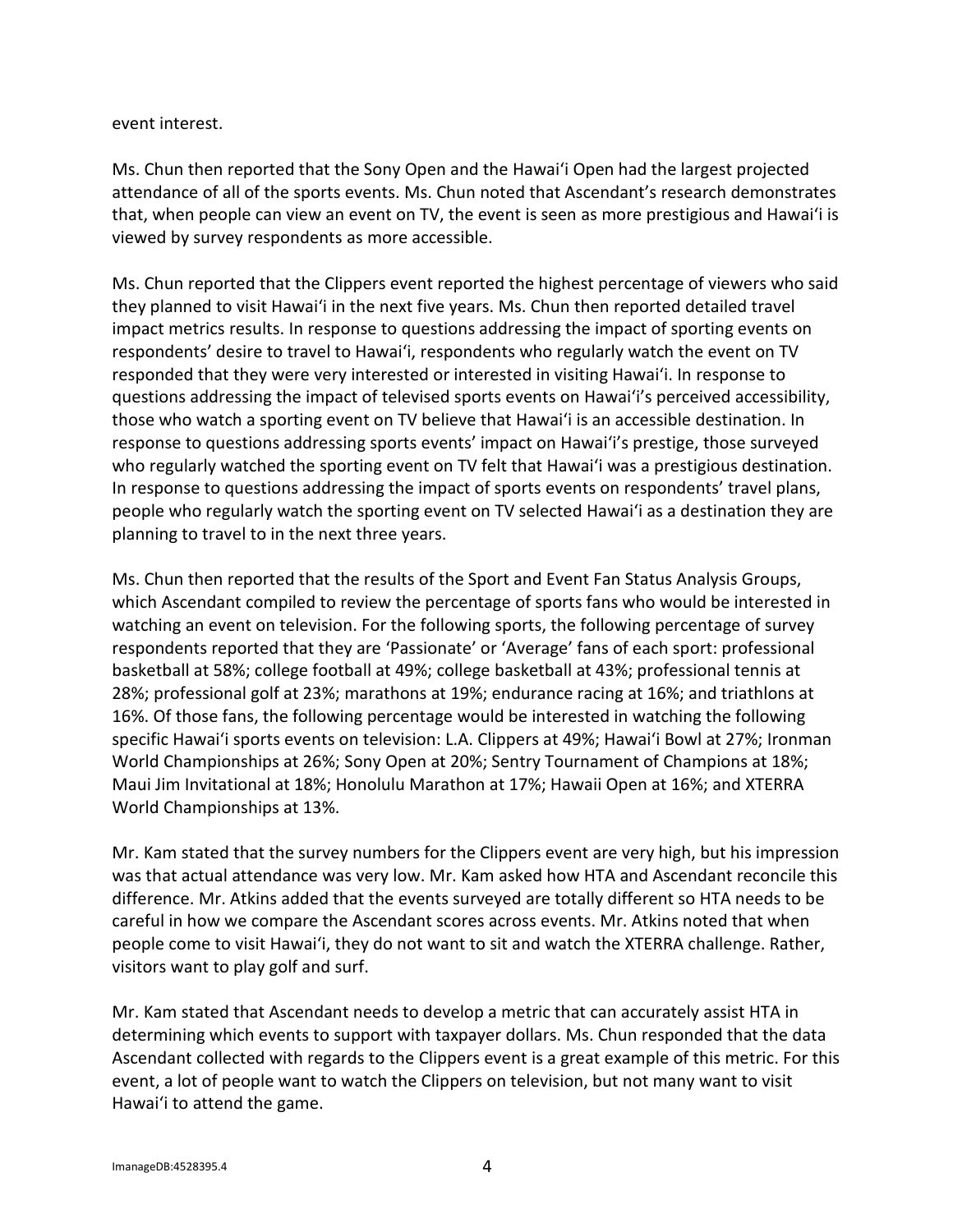#### event interest.

Ms. Chun then reported that the Sony Open and the Hawaiʻi Open had the largest projected attendance of all of the sports events. Ms. Chun noted that Ascendant's research demonstrates that, when people can view an event on TV, the event is seen as more prestigious and Hawaiʻi is viewed by survey respondents as more accessible.

Ms. Chun reported that the Clippers event reported the highest percentage of viewers who said they planned to visit Hawaiʻi in the next five years. Ms. Chun then reported detailed travel impact metrics results. In response to questions addressing the impact of sporting events on respondents' desire to travel to Hawaiʻi, respondents who regularly watch the event on TV responded that they were very interested or interested in visiting Hawaiʻi. In response to questions addressing the impact of televised sports events on Hawaiʻi's perceived accessibility, those who watch a sporting event on TV believe that Hawaiʻi is an accessible destination. In response to questions addressing sports events' impact on Hawaiʻi's prestige, those surveyed who regularly watched the sporting event on TV felt that Hawaiʻi was a prestigious destination. In response to questions addressing the impact of sports events on respondents' travel plans, people who regularly watch the sporting event on TV selected Hawaiʻi as a destination they are planning to travel to in the next three years.

Ms. Chun then reported that the results of the Sport and Event Fan Status Analysis Groups, which Ascendant compiled to review the percentage of sports fans who would be interested in watching an event on television. For the following sports, the following percentage of survey respondents reported that they are 'Passionate' or 'Average' fans of each sport: professional basketball at 58%; college football at 49%; college basketball at 43%; professional tennis at 28%; professional golf at 23%; marathons at 19%; endurance racing at 16%; and triathlons at 16%. Of those fans, the following percentage would be interested in watching the following specific Hawaiʻi sports events on television: L.A. Clippers at 49%; Hawaiʻi Bowl at 27%; Ironman World Championships at 26%; Sony Open at 20%; Sentry Tournament of Champions at 18%; Maui Jim Invitational at 18%; Honolulu Marathon at 17%; Hawaii Open at 16%; and XTERRA World Championships at 13%.

Mr. Kam stated that the survey numbers for the Clippers event are very high, but his impression was that actual attendance was very low. Mr. Kam asked how HTA and Ascendant reconcile this difference. Mr. Atkins added that the events surveyed are totally different so HTA needs to be careful in how we compare the Ascendant scores across events. Mr. Atkins noted that when people come to visit Hawaiʻi, they do not want to sit and watch the XTERRA challenge. Rather, visitors want to play golf and surf.

Mr. Kam stated that Ascendant needs to develop a metric that can accurately assist HTA in determining which events to support with taxpayer dollars. Ms. Chun responded that the data Ascendant collected with regards to the Clippers event is a great example of this metric. For this event, a lot of people want to watch the Clippers on television, but not many want to visit Hawaiʻi to attend the game.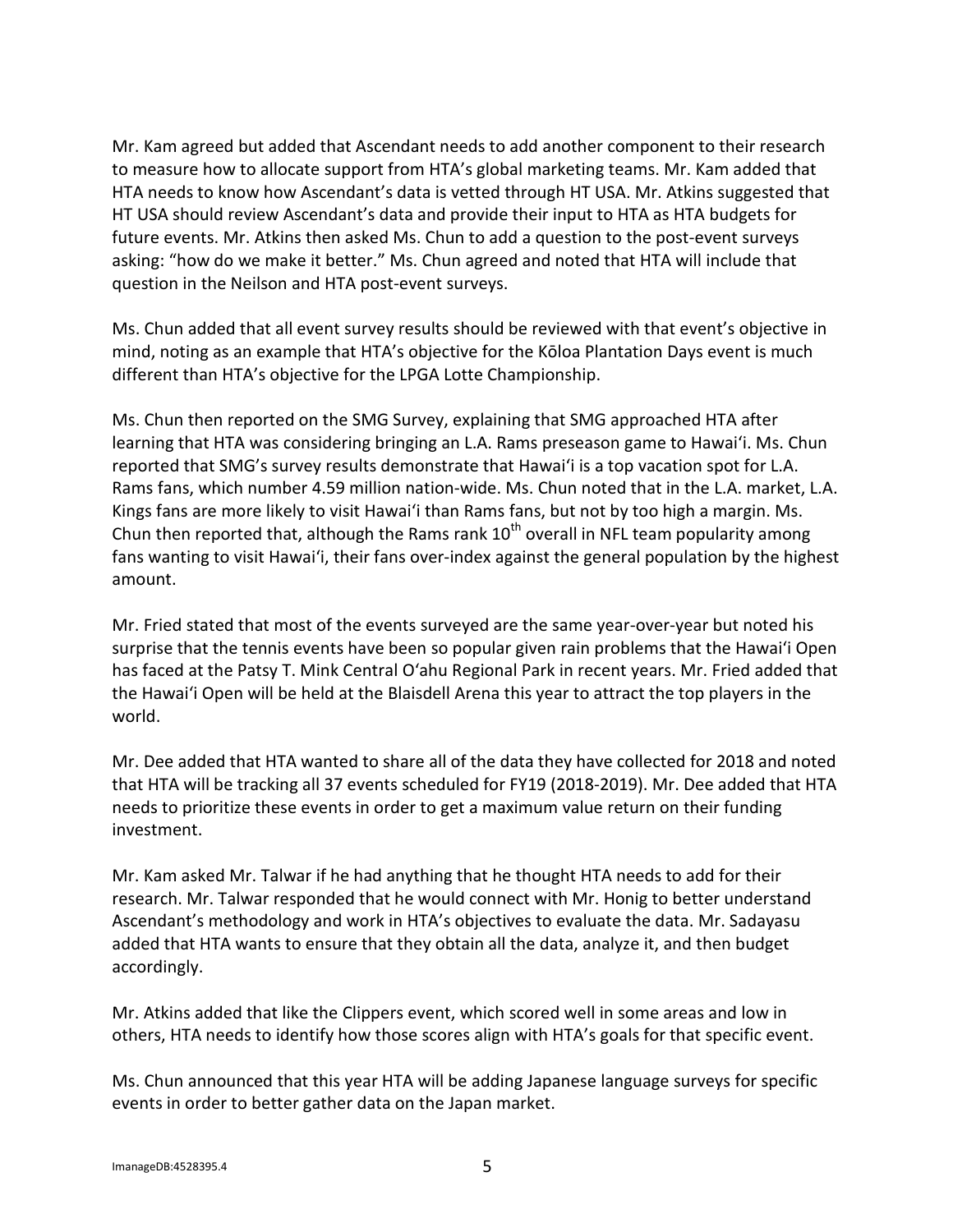Mr. Kam agreed but added that Ascendant needs to add another component to their research to measure how to allocate support from HTA's global marketing teams. Mr. Kam added that HTA needs to know how Ascendant's data is vetted through HT USA. Mr. Atkins suggested that HT USA should review Ascendant's data and provide their input to HTA as HTA budgets for future events. Mr. Atkins then asked Ms. Chun to add a question to the post-event surveys asking: "how do we make it better." Ms. Chun agreed and noted that HTA will include that question in the Neilson and HTA post-event surveys.

Ms. Chun added that all event survey results should be reviewed with that event's objective in mind, noting as an example that HTA's objective for the Kōloa Plantation Days event is much different than HTA's objective for the LPGA Lotte Championship.

Ms. Chun then reported on the SMG Survey, explaining that SMG approached HTA after learning that HTA was considering bringing an L.A. Rams preseason game to Hawaiʻi. Ms. Chun reported that SMG's survey results demonstrate that Hawaiʻi is a top vacation spot for L.A. Rams fans, which number 4.59 million nation-wide. Ms. Chun noted that in the L.A. market, L.A. Kings fans are more likely to visit Hawaiʻi than Rams fans, but not by too high a margin. Ms. Chun then reported that, although the Rams rank  $10<sup>th</sup>$  overall in NFL team popularity among fans wanting to visit Hawaiʻi, their fans over-index against the general population by the highest amount.

Mr. Fried stated that most of the events surveyed are the same year-over-year but noted his surprise that the tennis events have been so popular given rain problems that the Hawaiʻi Open has faced at the Patsy T. Mink Central Oʻahu Regional Park in recent years. Mr. Fried added that the Hawaiʻi Open will be held at the Blaisdell Arena this year to attract the top players in the world.

Mr. Dee added that HTA wanted to share all of the data they have collected for 2018 and noted that HTA will be tracking all 37 events scheduled for FY19 (2018-2019). Mr. Dee added that HTA needs to prioritize these events in order to get a maximum value return on their funding investment.

Mr. Kam asked Mr. Talwar if he had anything that he thought HTA needs to add for their research. Mr. Talwar responded that he would connect with Mr. Honig to better understand Ascendant's methodology and work in HTA's objectives to evaluate the data. Mr. Sadayasu added that HTA wants to ensure that they obtain all the data, analyze it, and then budget accordingly.

Mr. Atkins added that like the Clippers event, which scored well in some areas and low in others, HTA needs to identify how those scores align with HTA's goals for that specific event.

Ms. Chun announced that this year HTA will be adding Japanese language surveys for specific events in order to better gather data on the Japan market.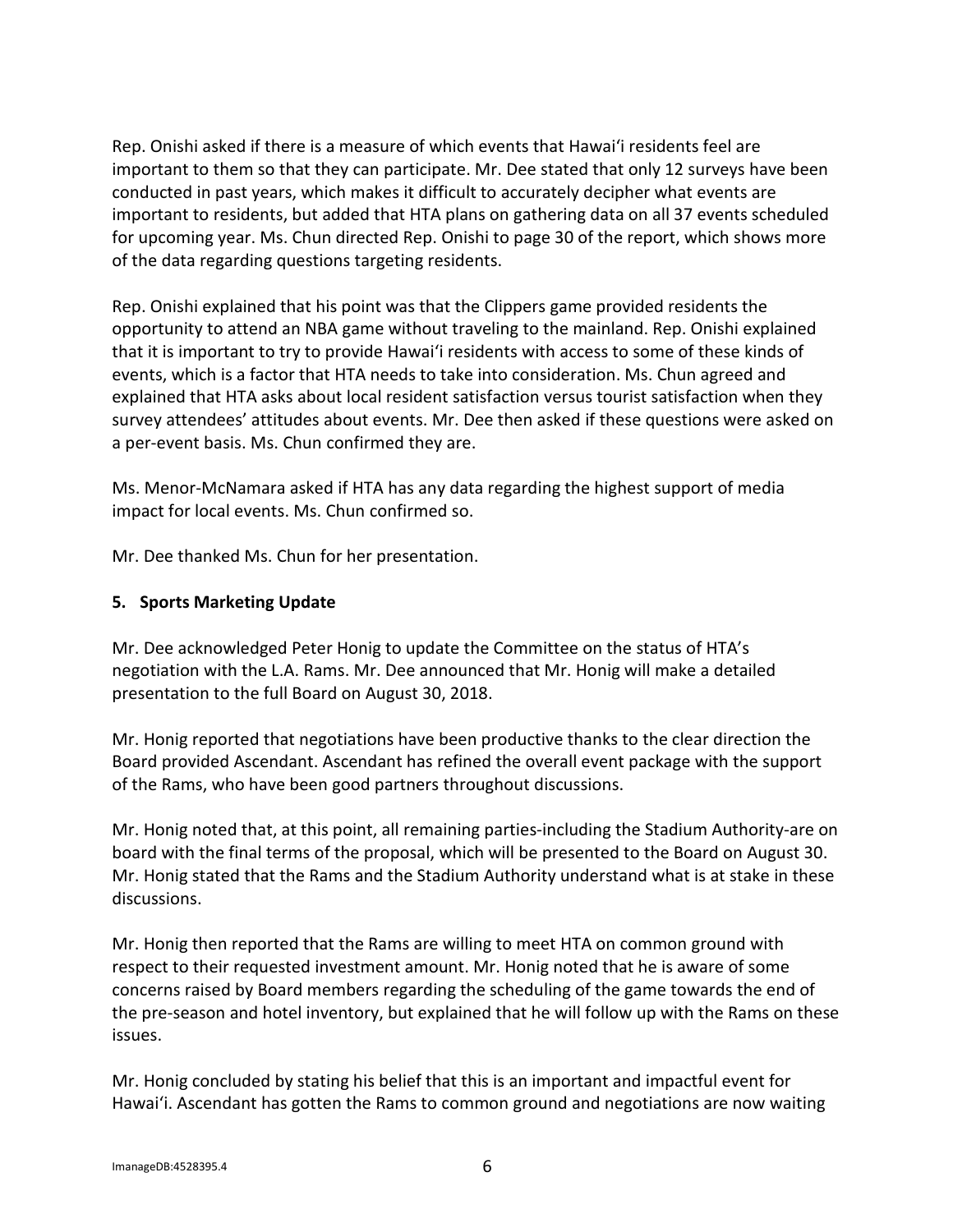Rep. Onishi asked if there is a measure of which events that Hawaiʻi residents feel are important to them so that they can participate. Mr. Dee stated that only 12 surveys have been conducted in past years, which makes it difficult to accurately decipher what events are important to residents, but added that HTA plans on gathering data on all 37 events scheduled for upcoming year. Ms. Chun directed Rep. Onishi to page 30 of the report, which shows more of the data regarding questions targeting residents.

Rep. Onishi explained that his point was that the Clippers game provided residents the opportunity to attend an NBA game without traveling to the mainland. Rep. Onishi explained that it is important to try to provide Hawaiʻi residents with access to some of these kinds of events, which is a factor that HTA needs to take into consideration. Ms. Chun agreed and explained that HTA asks about local resident satisfaction versus tourist satisfaction when they survey attendees' attitudes about events. Mr. Dee then asked if these questions were asked on a per-event basis. Ms. Chun confirmed they are.

Ms. Menor-McNamara asked if HTA has any data regarding the highest support of media impact for local events. Ms. Chun confirmed so.

Mr. Dee thanked Ms. Chun for her presentation.

### **5. Sports Marketing Update**

Mr. Dee acknowledged Peter Honig to update the Committee on the status of HTA's negotiation with the L.A. Rams. Mr. Dee announced that Mr. Honig will make a detailed presentation to the full Board on August 30, 2018.

Mr. Honig reported that negotiations have been productive thanks to the clear direction the Board provided Ascendant. Ascendant has refined the overall event package with the support of the Rams, who have been good partners throughout discussions.

Mr. Honig noted that, at this point, all remaining parties-including the Stadium Authority-are on board with the final terms of the proposal, which will be presented to the Board on August 30. Mr. Honig stated that the Rams and the Stadium Authority understand what is at stake in these discussions.

Mr. Honig then reported that the Rams are willing to meet HTA on common ground with respect to their requested investment amount. Mr. Honig noted that he is aware of some concerns raised by Board members regarding the scheduling of the game towards the end of the pre-season and hotel inventory, but explained that he will follow up with the Rams on these issues.

Mr. Honig concluded by stating his belief that this is an important and impactful event for Hawaiʻi. Ascendant has gotten the Rams to common ground and negotiations are now waiting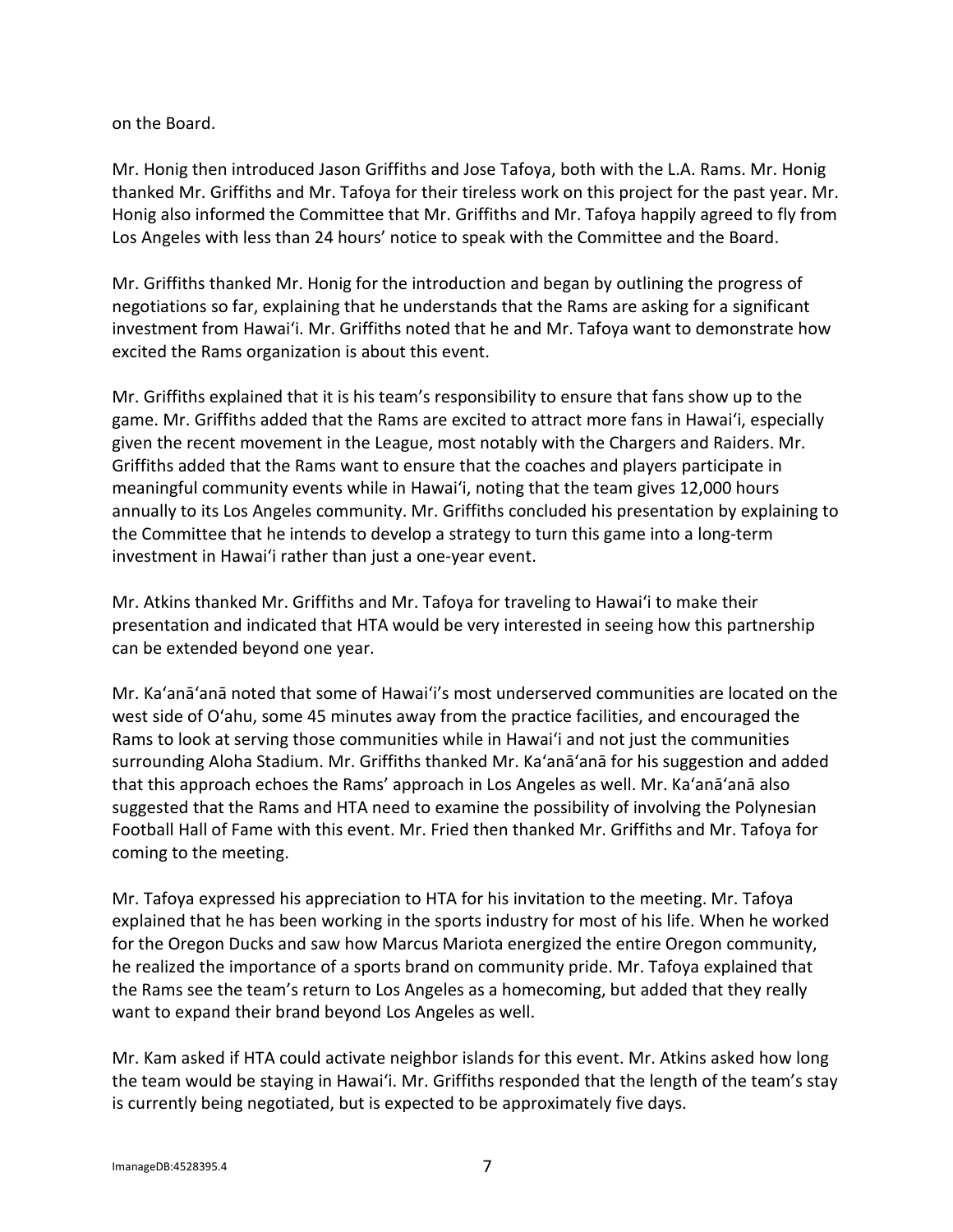on the Board.

Mr. Honig then introduced Jason Griffiths and Jose Tafoya, both with the L.A. Rams. Mr. Honig thanked Mr. Griffiths and Mr. Tafoya for their tireless work on this project for the past year. Mr. Honig also informed the Committee that Mr. Griffiths and Mr. Tafoya happily agreed to fly from Los Angeles with less than 24 hours' notice to speak with the Committee and the Board.

Mr. Griffiths thanked Mr. Honig for the introduction and began by outlining the progress of negotiations so far, explaining that he understands that the Rams are asking for a significant investment from Hawaiʻi. Mr. Griffiths noted that he and Mr. Tafoya want to demonstrate how excited the Rams organization is about this event.

Mr. Griffiths explained that it is his team's responsibility to ensure that fans show up to the game. Mr. Griffiths added that the Rams are excited to attract more fans in Hawaiʻi, especially given the recent movement in the League, most notably with the Chargers and Raiders. Mr. Griffiths added that the Rams want to ensure that the coaches and players participate in meaningful community events while in Hawaiʻi, noting that the team gives 12,000 hours annually to its Los Angeles community. Mr. Griffiths concluded his presentation by explaining to the Committee that he intends to develop a strategy to turn this game into a long-term investment in Hawaiʻi rather than just a one-year event.

Mr. Atkins thanked Mr. Griffiths and Mr. Tafoya for traveling to Hawaiʻi to make their presentation and indicated that HTA would be very interested in seeing how this partnership can be extended beyond one year.

Mr. Ka'anā'anā noted that some of Hawaiʻi's most underserved communities are located on the west side of Oʻahu, some 45 minutes away from the practice facilities, and encouraged the Rams to look at serving those communities while in Hawaiʻi and not just the communities surrounding Aloha Stadium. Mr. Griffiths thanked Mr. Ka'anā'anā for his suggestion and added that this approach echoes the Rams' approach in Los Angeles as well. Mr. Ka'anā'anā also suggested that the Rams and HTA need to examine the possibility of involving the Polynesian Football Hall of Fame with this event. Mr. Fried then thanked Mr. Griffiths and Mr. Tafoya for coming to the meeting.

Mr. Tafoya expressed his appreciation to HTA for his invitation to the meeting. Mr. Tafoya explained that he has been working in the sports industry for most of his life. When he worked for the Oregon Ducks and saw how Marcus Mariota energized the entire Oregon community, he realized the importance of a sports brand on community pride. Mr. Tafoya explained that the Rams see the team's return to Los Angeles as a homecoming, but added that they really want to expand their brand beyond Los Angeles as well.

Mr. Kam asked if HTA could activate neighbor islands for this event. Mr. Atkins asked how long the team would be staying in Hawaiʻi. Mr. Griffiths responded that the length of the team's stay is currently being negotiated, but is expected to be approximately five days.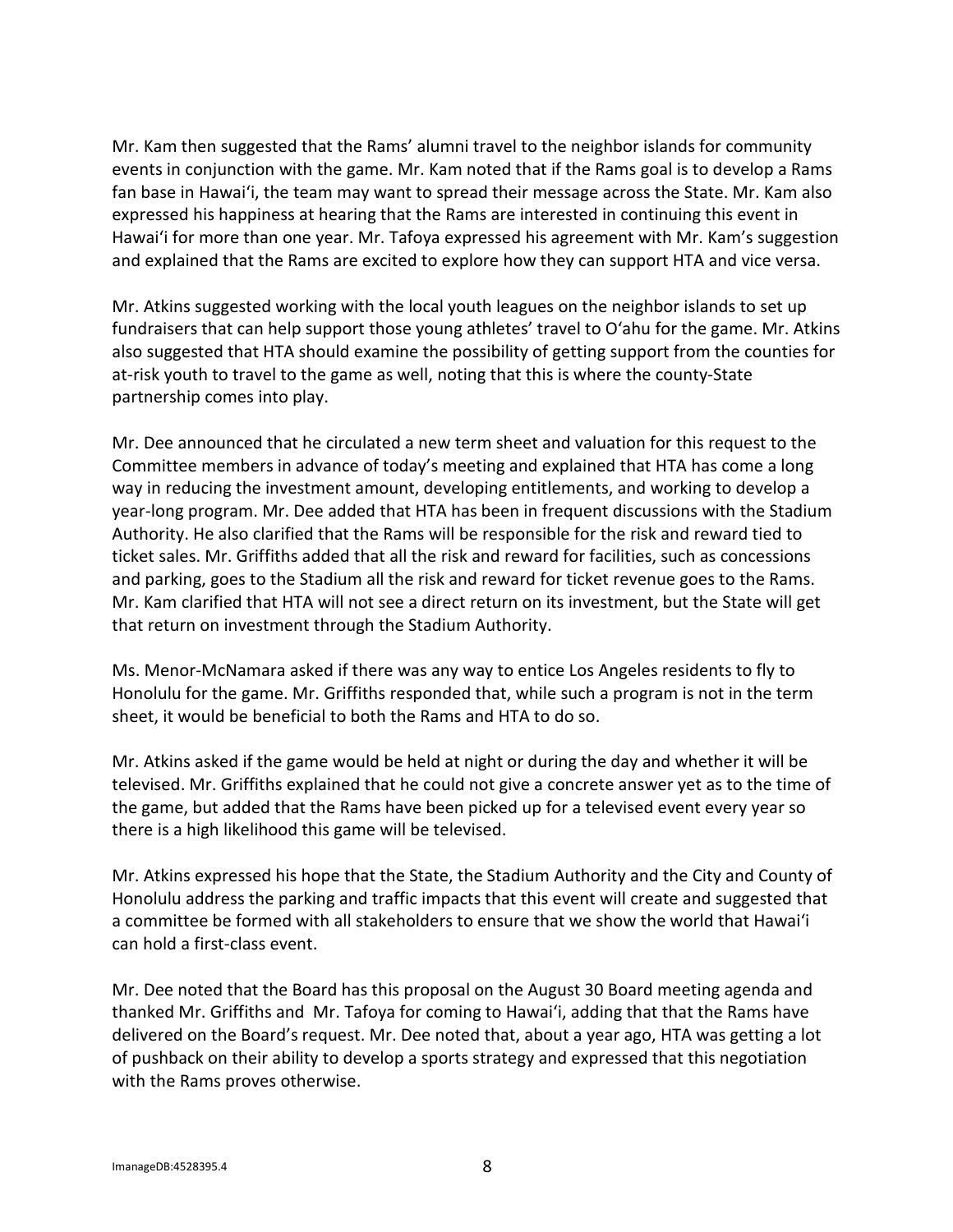Mr. Kam then suggested that the Rams' alumni travel to the neighbor islands for community events in conjunction with the game. Mr. Kam noted that if the Rams goal is to develop a Rams fan base in Hawaiʻi, the team may want to spread their message across the State. Mr. Kam also expressed his happiness at hearing that the Rams are interested in continuing this event in Hawaiʻi for more than one year. Mr. Tafoya expressed his agreement with Mr. Kam's suggestion and explained that the Rams are excited to explore how they can support HTA and vice versa.

Mr. Atkins suggested working with the local youth leagues on the neighbor islands to set up fundraisers that can help support those young athletes' travel to Oʻahu for the game. Mr. Atkins also suggested that HTA should examine the possibility of getting support from the counties for at-risk youth to travel to the game as well, noting that this is where the county-State partnership comes into play.

Mr. Dee announced that he circulated a new term sheet and valuation for this request to the Committee members in advance of today's meeting and explained that HTA has come a long way in reducing the investment amount, developing entitlements, and working to develop a year-long program. Mr. Dee added that HTA has been in frequent discussions with the Stadium Authority. He also clarified that the Rams will be responsible for the risk and reward tied to ticket sales. Mr. Griffiths added that all the risk and reward for facilities, such as concessions and parking, goes to the Stadium all the risk and reward for ticket revenue goes to the Rams. Mr. Kam clarified that HTA will not see a direct return on its investment, but the State will get that return on investment through the Stadium Authority.

Ms. Menor-McNamara asked if there was any way to entice Los Angeles residents to fly to Honolulu for the game. Mr. Griffiths responded that, while such a program is not in the term sheet, it would be beneficial to both the Rams and HTA to do so.

Mr. Atkins asked if the game would be held at night or during the day and whether it will be televised. Mr. Griffiths explained that he could not give a concrete answer yet as to the time of the game, but added that the Rams have been picked up for a televised event every year so there is a high likelihood this game will be televised.

Mr. Atkins expressed his hope that the State, the Stadium Authority and the City and County of Honolulu address the parking and traffic impacts that this event will create and suggested that a committee be formed with all stakeholders to ensure that we show the world that Hawaiʻi can hold a first-class event.

Mr. Dee noted that the Board has this proposal on the August 30 Board meeting agenda and thanked Mr. Griffiths and Mr. Tafoya for coming to Hawaiʻi, adding that that the Rams have delivered on the Board's request. Mr. Dee noted that, about a year ago, HTA was getting a lot of pushback on their ability to develop a sports strategy and expressed that this negotiation with the Rams proves otherwise.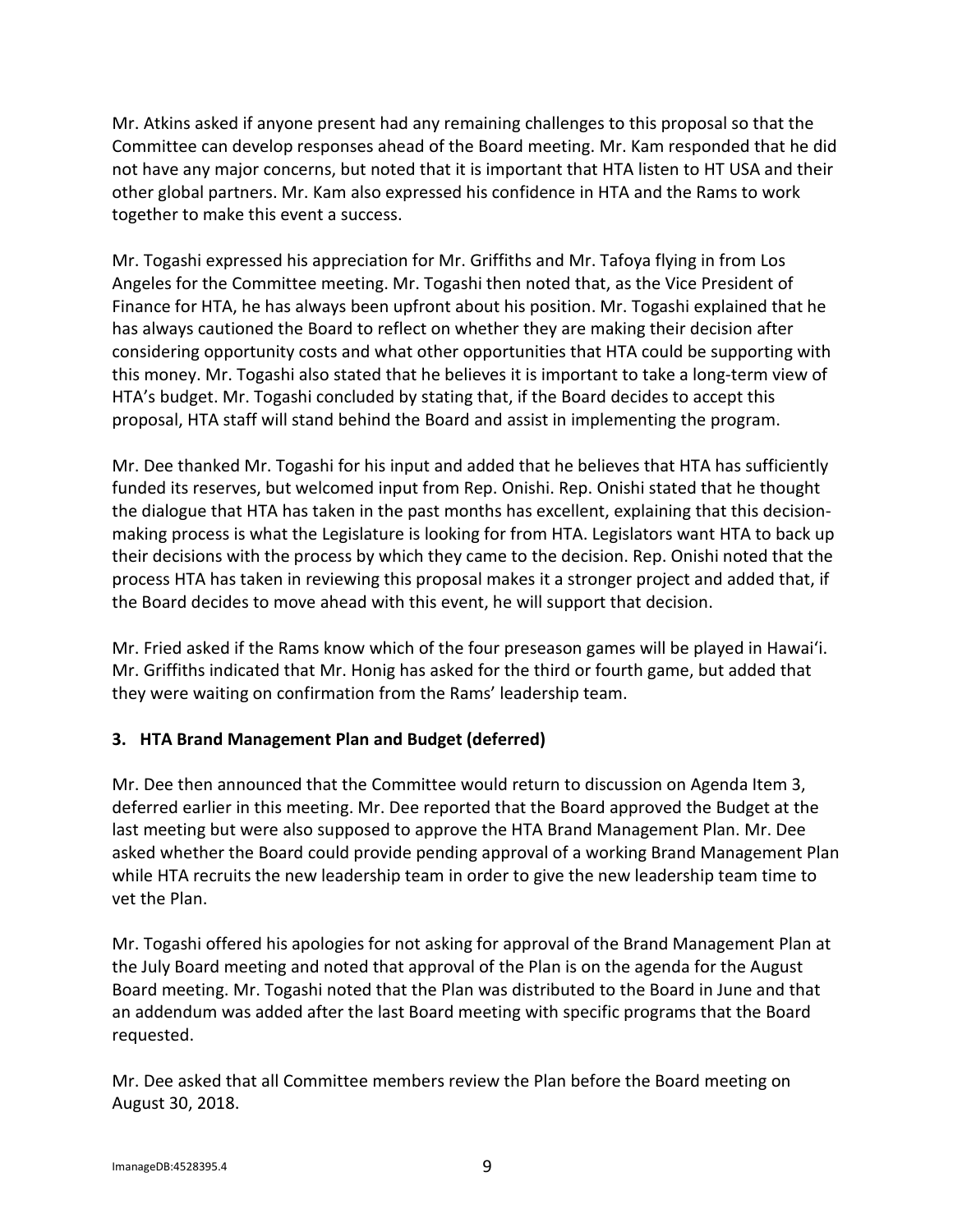Mr. Atkins asked if anyone present had any remaining challenges to this proposal so that the Committee can develop responses ahead of the Board meeting. Mr. Kam responded that he did not have any major concerns, but noted that it is important that HTA listen to HT USA and their other global partners. Mr. Kam also expressed his confidence in HTA and the Rams to work together to make this event a success.

Mr. Togashi expressed his appreciation for Mr. Griffiths and Mr. Tafoya flying in from Los Angeles for the Committee meeting. Mr. Togashi then noted that, as the Vice President of Finance for HTA, he has always been upfront about his position. Mr. Togashi explained that he has always cautioned the Board to reflect on whether they are making their decision after considering opportunity costs and what other opportunities that HTA could be supporting with this money. Mr. Togashi also stated that he believes it is important to take a long-term view of HTA's budget. Mr. Togashi concluded by stating that, if the Board decides to accept this proposal, HTA staff will stand behind the Board and assist in implementing the program.

Mr. Dee thanked Mr. Togashi for his input and added that he believes that HTA has sufficiently funded its reserves, but welcomed input from Rep. Onishi. Rep. Onishi stated that he thought the dialogue that HTA has taken in the past months has excellent, explaining that this decisionmaking process is what the Legislature is looking for from HTA. Legislators want HTA to back up their decisions with the process by which they came to the decision. Rep. Onishi noted that the process HTA has taken in reviewing this proposal makes it a stronger project and added that, if the Board decides to move ahead with this event, he will support that decision.

Mr. Fried asked if the Rams know which of the four preseason games will be played in Hawaiʻi. Mr. Griffiths indicated that Mr. Honig has asked for the third or fourth game, but added that they were waiting on confirmation from the Rams' leadership team.

# **3. HTA Brand Management Plan and Budget (deferred)**

Mr. Dee then announced that the Committee would return to discussion on Agenda Item 3, deferred earlier in this meeting. Mr. Dee reported that the Board approved the Budget at the last meeting but were also supposed to approve the HTA Brand Management Plan. Mr. Dee asked whether the Board could provide pending approval of a working Brand Management Plan while HTA recruits the new leadership team in order to give the new leadership team time to vet the Plan.

Mr. Togashi offered his apologies for not asking for approval of the Brand Management Plan at the July Board meeting and noted that approval of the Plan is on the agenda for the August Board meeting. Mr. Togashi noted that the Plan was distributed to the Board in June and that an addendum was added after the last Board meeting with specific programs that the Board requested.

Mr. Dee asked that all Committee members review the Plan before the Board meeting on August 30, 2018.